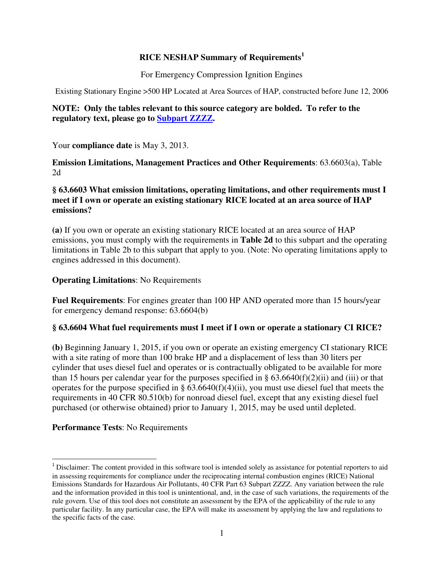### **RICE NESHAP Summary of Requirements<sup>1</sup>**

For Emergency Compression Ignition Engines

Existing Stationary Engine >500 HP Located at Area Sources of HAP, constructed before June 12, 2006

### **NOTE: Only the tables relevant to this source category are bolded. To refer to the regulatory text, please go to Subpart ZZZZ.**

Your **compliance date** is May 3, 2013.

**Emission Limitations, Management Practices and Other Requirements**: 63.6603(a), Table 2d

### **§ 63.6603 What emission limitations, operating limitations, and other requirements must I meet if I own or operate an existing stationary RICE located at an area source of HAP emissions?**

**(a)** If you own or operate an existing stationary RICE located at an area source of HAP emissions, you must comply with the requirements in **Table 2d** to this subpart and the operating limitations in Table 2b to this subpart that apply to you. (Note: No operating limitations apply to engines addressed in this document).

### **Operating Limitations**: No Requirements

**Fuel Requirements**: For engines greater than 100 HP AND operated more than 15 hours/year for emergency demand response: 63.6604(b)

## **§ 63.6604 What fuel requirements must I meet if I own or operate a stationary CI RICE?**

**(b)** Beginning January 1, 2015, if you own or operate an existing emergency CI stationary RICE with a site rating of more than 100 brake HP and a displacement of less than 30 liters per cylinder that uses diesel fuel and operates or is contractually obligated to be available for more than 15 hours per calendar year for the purposes specified in §  $63.6640(f)(2)(ii)$  and (iii) or that operates for the purpose specified in §  $63.6640(f)(4)(ii)$ , you must use diesel fuel that meets the requirements in 40 CFR 80.510(b) for nonroad diesel fuel, except that any existing diesel fuel purchased (or otherwise obtained) prior to January 1, 2015, may be used until depleted.

## **Performance Tests**: No Requirements

l

<sup>&</sup>lt;sup>1</sup> Disclaimer: The content provided in this software tool is intended solely as assistance for potential reporters to aid in assessing requirements for compliance under the reciprocating internal combustion engines (RICE) National Emissions Standards for Hazardous Air Pollutants, 40 CFR Part 63 Subpart ZZZZ. Any variation between the rule and the information provided in this tool is unintentional, and, in the case of such variations, the requirements of the rule govern. Use of this tool does not constitute an assessment by the EPA of the applicability of the rule to any particular facility. In any particular case, the EPA will make its assessment by applying the law and regulations to the specific facts of the case.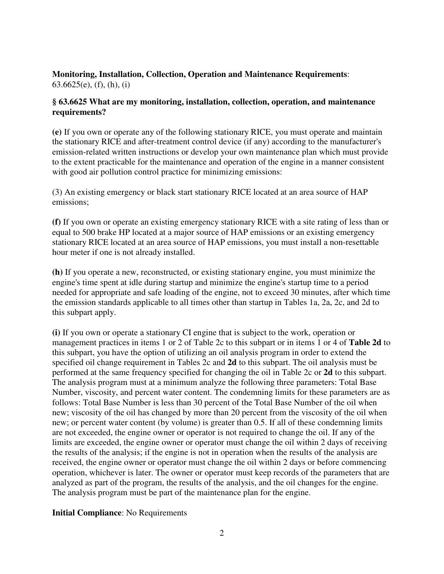### **Monitoring, Installation, Collection, Operation and Maintenance Requirements**: 63.6625(e), (f), (h), (i)

### **§ 63.6625 What are my monitoring, installation, collection, operation, and maintenance requirements?**

**(e)** If you own or operate any of the following stationary RICE, you must operate and maintain the stationary RICE and after-treatment control device (if any) according to the manufacturer's emission-related written instructions or develop your own maintenance plan which must provide to the extent practicable for the maintenance and operation of the engine in a manner consistent with good air pollution control practice for minimizing emissions:

(3) An existing emergency or black start stationary RICE located at an area source of HAP emissions;

**(f)** If you own or operate an existing emergency stationary RICE with a site rating of less than or equal to 500 brake HP located at a major source of HAP emissions or an existing emergency stationary RICE located at an area source of HAP emissions, you must install a non-resettable hour meter if one is not already installed.

**(h)** If you operate a new, reconstructed, or existing stationary engine, you must minimize the engine's time spent at idle during startup and minimize the engine's startup time to a period needed for appropriate and safe loading of the engine, not to exceed 30 minutes, after which time the emission standards applicable to all times other than startup in Tables 1a, 2a, 2c, and 2d to this subpart apply.

**(i)** If you own or operate a stationary CI engine that is subject to the work, operation or management practices in items 1 or 2 of Table 2c to this subpart or in items 1 or 4 of **Table 2d** to this subpart, you have the option of utilizing an oil analysis program in order to extend the specified oil change requirement in Tables 2c and **2d** to this subpart. The oil analysis must be performed at the same frequency specified for changing the oil in Table 2c or **2d** to this subpart. The analysis program must at a minimum analyze the following three parameters: Total Base Number, viscosity, and percent water content. The condemning limits for these parameters are as follows: Total Base Number is less than 30 percent of the Total Base Number of the oil when new; viscosity of the oil has changed by more than 20 percent from the viscosity of the oil when new; or percent water content (by volume) is greater than 0.5. If all of these condemning limits are not exceeded, the engine owner or operator is not required to change the oil. If any of the limits are exceeded, the engine owner or operator must change the oil within 2 days of receiving the results of the analysis; if the engine is not in operation when the results of the analysis are received, the engine owner or operator must change the oil within 2 days or before commencing operation, whichever is later. The owner or operator must keep records of the parameters that are analyzed as part of the program, the results of the analysis, and the oil changes for the engine. The analysis program must be part of the maintenance plan for the engine.

## **Initial Compliance**: No Requirements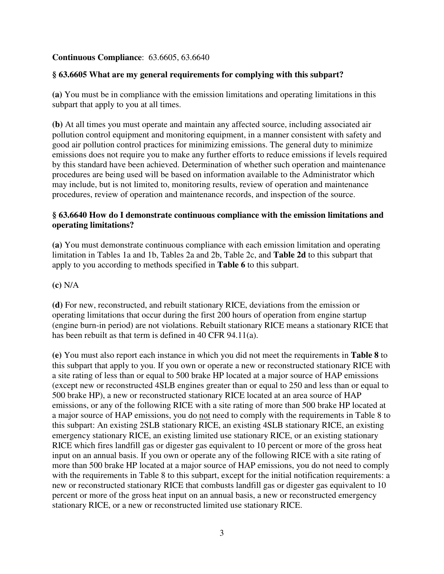# **Continuous Compliance**: 63.6605, 63.6640

# **§ 63.6605 What are my general requirements for complying with this subpart?**

**(a)** You must be in compliance with the emission limitations and operating limitations in this subpart that apply to you at all times.

**(b)** At all times you must operate and maintain any affected source, including associated air pollution control equipment and monitoring equipment, in a manner consistent with safety and good air pollution control practices for minimizing emissions. The general duty to minimize emissions does not require you to make any further efforts to reduce emissions if levels required by this standard have been achieved. Determination of whether such operation and maintenance procedures are being used will be based on information available to the Administrator which may include, but is not limited to, monitoring results, review of operation and maintenance procedures, review of operation and maintenance records, and inspection of the source.

## **§ 63.6640 How do I demonstrate continuous compliance with the emission limitations and operating limitations?**

**(a)** You must demonstrate continuous compliance with each emission limitation and operating limitation in Tables 1a and 1b, Tables 2a and 2b, Table 2c, and **Table 2d** to this subpart that apply to you according to methods specified in **Table 6** to this subpart.

## **(c)** N/A

**(d)** For new, reconstructed, and rebuilt stationary RICE, deviations from the emission or operating limitations that occur during the first 200 hours of operation from engine startup (engine burn-in period) are not violations. Rebuilt stationary RICE means a stationary RICE that has been rebuilt as that term is defined in 40 CFR 94.11(a).

**(e)** You must also report each instance in which you did not meet the requirements in **Table 8** to this subpart that apply to you. If you own or operate a new or reconstructed stationary RICE with a site rating of less than or equal to 500 brake HP located at a major source of HAP emissions (except new or reconstructed 4SLB engines greater than or equal to 250 and less than or equal to 500 brake HP), a new or reconstructed stationary RICE located at an area source of HAP emissions, or any of the following RICE with a site rating of more than 500 brake HP located at a major source of HAP emissions, you do not need to comply with the requirements in Table 8 to this subpart: An existing 2SLB stationary RICE, an existing 4SLB stationary RICE, an existing emergency stationary RICE, an existing limited use stationary RICE, or an existing stationary RICE which fires landfill gas or digester gas equivalent to 10 percent or more of the gross heat input on an annual basis. If you own or operate any of the following RICE with a site rating of more than 500 brake HP located at a major source of HAP emissions, you do not need to comply with the requirements in Table 8 to this subpart, except for the initial notification requirements: a new or reconstructed stationary RICE that combusts landfill gas or digester gas equivalent to 10 percent or more of the gross heat input on an annual basis, a new or reconstructed emergency stationary RICE, or a new or reconstructed limited use stationary RICE.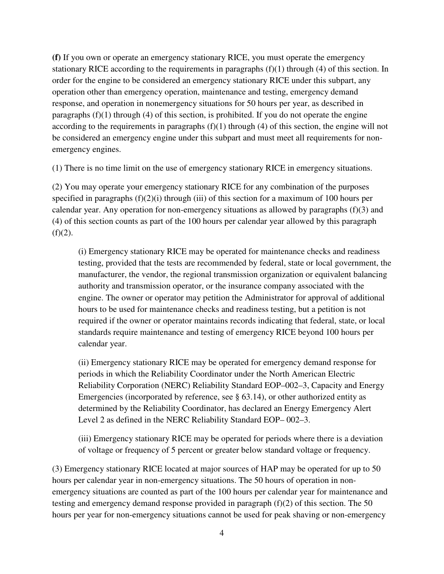**(f)** If you own or operate an emergency stationary RICE, you must operate the emergency stationary RICE according to the requirements in paragraphs  $(f)(1)$  through (4) of this section. In order for the engine to be considered an emergency stationary RICE under this subpart, any operation other than emergency operation, maintenance and testing, emergency demand response, and operation in nonemergency situations for 50 hours per year, as described in paragraphs  $(f)(1)$  through  $(4)$  of this section, is prohibited. If you do not operate the engine according to the requirements in paragraphs  $(f)(1)$  through  $(4)$  of this section, the engine will not be considered an emergency engine under this subpart and must meet all requirements for nonemergency engines.

(1) There is no time limit on the use of emergency stationary RICE in emergency situations.

(2) You may operate your emergency stationary RICE for any combination of the purposes specified in paragraphs (f)(2)(i) through (iii) of this section for a maximum of 100 hours per calendar year. Any operation for non-emergency situations as allowed by paragraphs (f)(3) and (4) of this section counts as part of the 100 hours per calendar year allowed by this paragraph  $(f)(2)$ .

(i) Emergency stationary RICE may be operated for maintenance checks and readiness testing, provided that the tests are recommended by federal, state or local government, the manufacturer, the vendor, the regional transmission organization or equivalent balancing authority and transmission operator, or the insurance company associated with the engine. The owner or operator may petition the Administrator for approval of additional hours to be used for maintenance checks and readiness testing, but a petition is not required if the owner or operator maintains records indicating that federal, state, or local standards require maintenance and testing of emergency RICE beyond 100 hours per calendar year.

(ii) Emergency stationary RICE may be operated for emergency demand response for periods in which the Reliability Coordinator under the North American Electric Reliability Corporation (NERC) Reliability Standard EOP–002–3, Capacity and Energy Emergencies (incorporated by reference, see § 63.14), or other authorized entity as determined by the Reliability Coordinator, has declared an Energy Emergency Alert Level 2 as defined in the NERC Reliability Standard EOP– 002–3.

(iii) Emergency stationary RICE may be operated for periods where there is a deviation of voltage or frequency of 5 percent or greater below standard voltage or frequency.

(3) Emergency stationary RICE located at major sources of HAP may be operated for up to 50 hours per calendar year in non-emergency situations. The 50 hours of operation in nonemergency situations are counted as part of the 100 hours per calendar year for maintenance and testing and emergency demand response provided in paragraph (f)(2) of this section. The 50 hours per year for non-emergency situations cannot be used for peak shaving or non-emergency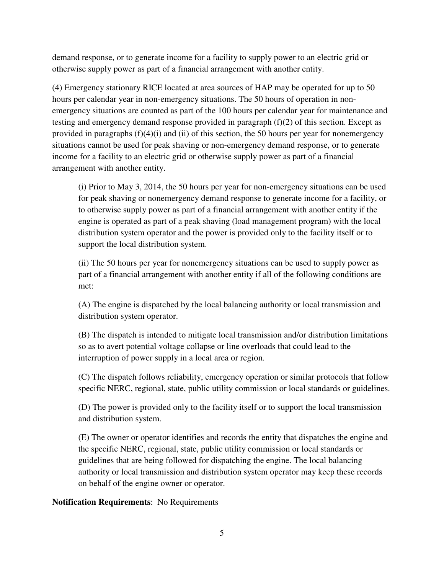demand response, or to generate income for a facility to supply power to an electric grid or otherwise supply power as part of a financial arrangement with another entity.

(4) Emergency stationary RICE located at area sources of HAP may be operated for up to 50 hours per calendar year in non-emergency situations. The 50 hours of operation in nonemergency situations are counted as part of the 100 hours per calendar year for maintenance and testing and emergency demand response provided in paragraph  $(f)(2)$  of this section. Except as provided in paragraphs  $(f)(4)(i)$  and  $(ii)$  of this section, the 50 hours per year for nonemergency situations cannot be used for peak shaving or non-emergency demand response, or to generate income for a facility to an electric grid or otherwise supply power as part of a financial arrangement with another entity.

(i) Prior to May 3, 2014, the 50 hours per year for non-emergency situations can be used for peak shaving or nonemergency demand response to generate income for a facility, or to otherwise supply power as part of a financial arrangement with another entity if the engine is operated as part of a peak shaving (load management program) with the local distribution system operator and the power is provided only to the facility itself or to support the local distribution system.

(ii) The 50 hours per year for nonemergency situations can be used to supply power as part of a financial arrangement with another entity if all of the following conditions are met:

(A) The engine is dispatched by the local balancing authority or local transmission and distribution system operator.

(B) The dispatch is intended to mitigate local transmission and/or distribution limitations so as to avert potential voltage collapse or line overloads that could lead to the interruption of power supply in a local area or region.

(C) The dispatch follows reliability, emergency operation or similar protocols that follow specific NERC, regional, state, public utility commission or local standards or guidelines.

(D) The power is provided only to the facility itself or to support the local transmission and distribution system.

(E) The owner or operator identifies and records the entity that dispatches the engine and the specific NERC, regional, state, public utility commission or local standards or guidelines that are being followed for dispatching the engine. The local balancing authority or local transmission and distribution system operator may keep these records on behalf of the engine owner or operator.

**Notification Requirements**: No Requirements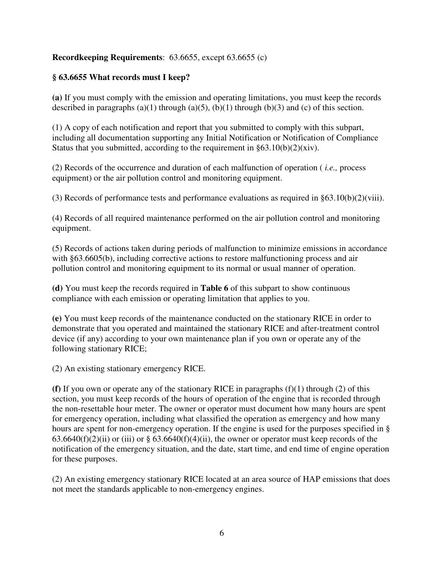## **Recordkeeping Requirements**: 63.6655, except 63.6655 (c)

# **§ 63.6655 What records must I keep?**

**(a)** If you must comply with the emission and operating limitations, you must keep the records described in paragraphs (a)(1) through (a)(5), (b)(1) through (b)(3) and (c) of this section.

(1) A copy of each notification and report that you submitted to comply with this subpart, including all documentation supporting any Initial Notification or Notification of Compliance Status that you submitted, according to the requirement in  $\S 63.10(b)(2)(xiv)$ .

(2) Records of the occurrence and duration of each malfunction of operation ( *i.e.,* process equipment) or the air pollution control and monitoring equipment.

(3) Records of performance tests and performance evaluations as required in §63.10(b)(2)(viii).

(4) Records of all required maintenance performed on the air pollution control and monitoring equipment.

(5) Records of actions taken during periods of malfunction to minimize emissions in accordance with §63.6605(b), including corrective actions to restore malfunctioning process and air pollution control and monitoring equipment to its normal or usual manner of operation.

**(d)** You must keep the records required in **Table 6** of this subpart to show continuous compliance with each emission or operating limitation that applies to you.

**(e)** You must keep records of the maintenance conducted on the stationary RICE in order to demonstrate that you operated and maintained the stationary RICE and after-treatment control device (if any) according to your own maintenance plan if you own or operate any of the following stationary RICE;

(2) An existing stationary emergency RICE.

**(f)** If you own or operate any of the stationary RICE in paragraphs (f)(1) through (2) of this section, you must keep records of the hours of operation of the engine that is recorded through the non-resettable hour meter. The owner or operator must document how many hours are spent for emergency operation, including what classified the operation as emergency and how many hours are spent for non-emergency operation. If the engine is used for the purposes specified in §  $63.6640(f)(2)(ii)$  or (iii) or §  $63.6640(f)(4)(ii)$ , the owner or operator must keep records of the notification of the emergency situation, and the date, start time, and end time of engine operation for these purposes.

(2) An existing emergency stationary RICE located at an area source of HAP emissions that does not meet the standards applicable to non-emergency engines.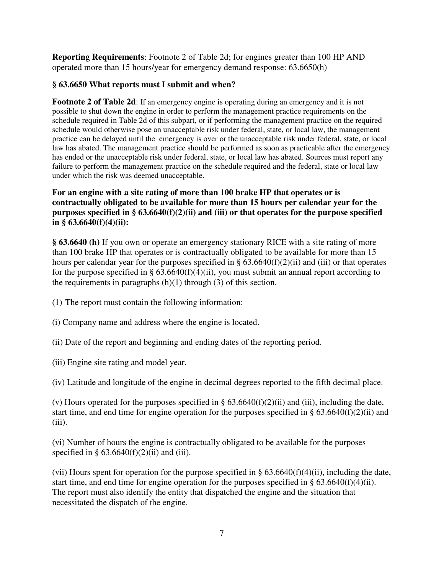**Reporting Requirements**: Footnote 2 of Table 2d; for engines greater than 100 HP AND operated more than 15 hours/year for emergency demand response: 63.6650(h)

### **§ 63.6650 What reports must I submit and when?**

**Footnote 2 of Table 2d**: If an emergency engine is operating during an emergency and it is not possible to shut down the engine in order to perform the management practice requirements on the schedule required in Table 2d of this subpart, or if performing the management practice on the required schedule would otherwise pose an unacceptable risk under federal, state, or local law, the management practice can be delayed until the emergency is over or the unacceptable risk under federal, state, or local law has abated. The management practice should be performed as soon as practicable after the emergency has ended or the unacceptable risk under federal, state, or local law has abated. Sources must report any failure to perform the management practice on the schedule required and the federal, state or local law under which the risk was deemed unacceptable.

## **For an engine with a site rating of more than 100 brake HP that operates or is contractually obligated to be available for more than 15 hours per calendar year for the purposes specified in § 63.6640(f)(2)(ii) and (iii) or that operates for the purpose specified in § 63.6640(f)(4)(ii):**

**§ 63.6640 (h)** If you own or operate an emergency stationary RICE with a site rating of more than 100 brake HP that operates or is contractually obligated to be available for more than 15 hours per calendar year for the purposes specified in  $\S 63.6640(f)(2)(ii)$  and (iii) or that operates for the purpose specified in §  $63.6640(f)(4)(ii)$ , you must submit an annual report according to the requirements in paragraphs  $(h)(1)$  through  $(3)$  of this section.

- (1) The report must contain the following information:
- (i) Company name and address where the engine is located.
- (ii) Date of the report and beginning and ending dates of the reporting period.
- (iii) Engine site rating and model year.

(iv) Latitude and longitude of the engine in decimal degrees reported to the fifth decimal place.

(v) Hours operated for the purposes specified in  $\S 63.6640(f)(2)(ii)$  and (iii), including the date, start time, and end time for engine operation for the purposes specified in §  $63.6640(f)(2)(ii)$  and  $(iii)$ .

(vi) Number of hours the engine is contractually obligated to be available for the purposes specified in §  $63.6640(f)(2)(ii)$  and (iii).

(vii) Hours spent for operation for the purpose specified in  $\S 63.6640(f)(4)(ii)$ , including the date, start time, and end time for engine operation for the purposes specified in §  $63.6640(f)(4)(ii)$ . The report must also identify the entity that dispatched the engine and the situation that necessitated the dispatch of the engine.